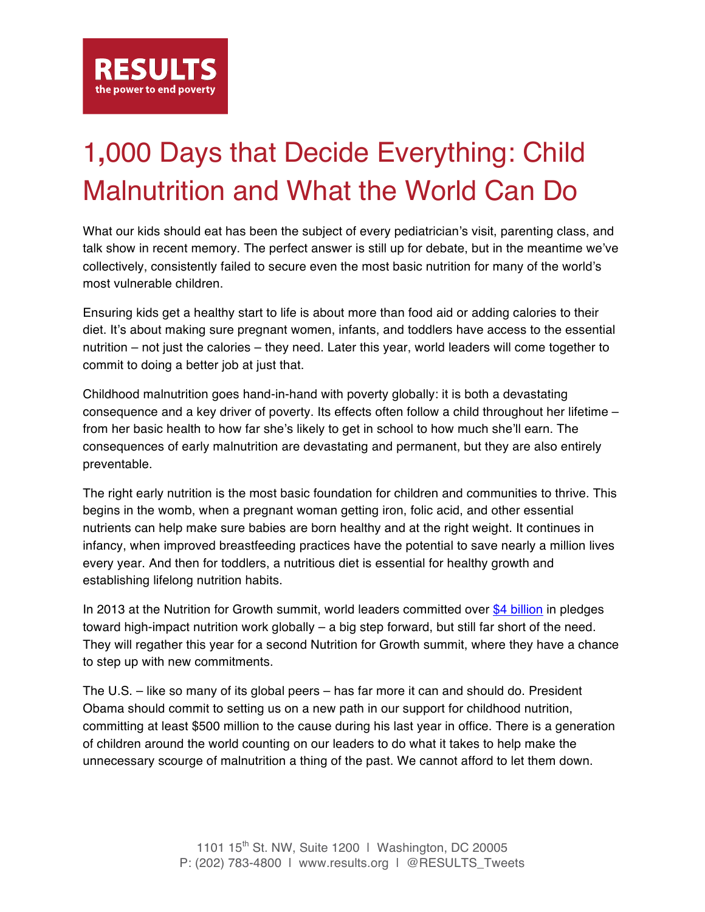

## 1**,**000 Days that Decide Everything: Child Malnutrition and What the World Can Do

What our kids should eat has been the subject of every pediatrician's visit, parenting class, and talk show in recent memory. The perfect answer is still up for debate, but in the meantime we've collectively, consistently failed to secure even the most basic nutrition for many of the world's most vulnerable children.

Ensuring kids get a healthy start to life is about more than food aid or adding calories to their diet. It's about making sure pregnant women, infants, and toddlers have access to the essential nutrition – not just the calories – they need. Later this year, world leaders will come together to commit to doing a better job at just that.

Childhood malnutrition goes hand-in-hand with poverty globally: it is both a devastating consequence and a key driver of poverty. Its effects often follow a child throughout her lifetime – from her basic health to how far she's likely to get in school to how much she'll earn. The consequences of early malnutrition are devastating and permanent, but they are also entirely preventable.

The right early nutrition is the most basic foundation for children and communities to thrive. This begins in the womb, when a pregnant woman getting iron, folic acid, and other essential nutrients can help make sure babies are born healthy and at the right weight. It continues in infancy, when improved breastfeeding practices have the potential to save nearly a million lives every year. And then for toddlers, a nutritious diet is essential for healthy growth and establishing lifelong nutrition habits.

In 2013 at the Nutrition for Growth summit, world leaders committed over \$4 billion in pledges toward high-impact nutrition work globally – a big step forward, but still far short of the need. They will regather this year for a second Nutrition for Growth summit, where they have a chance to step up with new commitments.

The U.S. – like so many of its global peers – has far more it can and should do. President Obama should commit to setting us on a new path in our support for childhood nutrition, committing at least \$500 million to the cause during his last year in office. There is a generation of children around the world counting on our leaders to do what it takes to help make the unnecessary scourge of malnutrition a thing of the past. We cannot afford to let them down.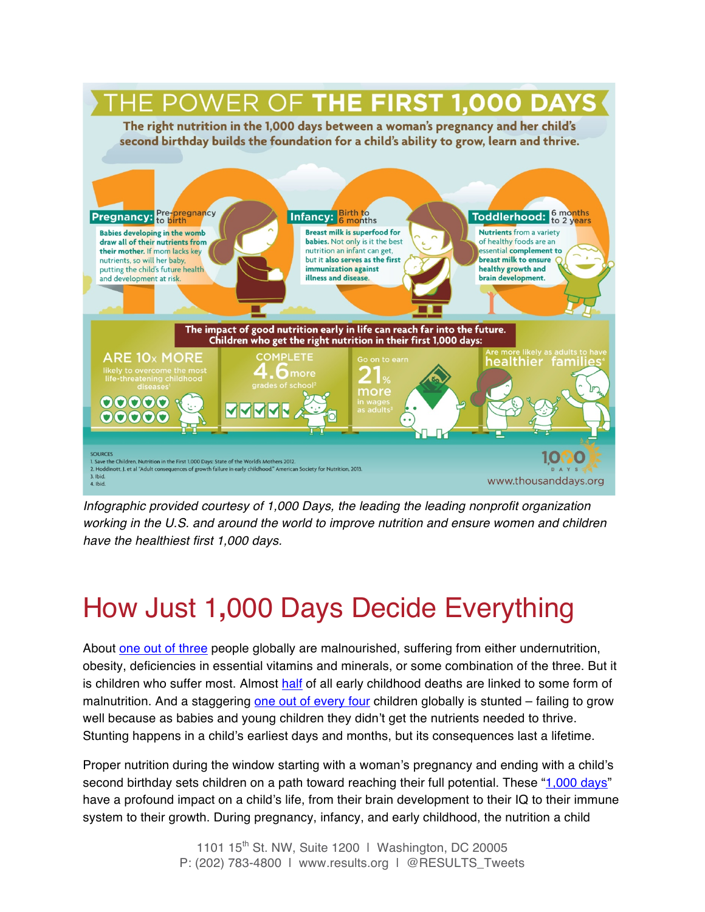

*Infographic provided courtesy of 1,000 Days, the leading the leading nonprofit organization working in the U.S. and around the world to improve nutrition and ensure women and children have the healthiest first 1,000 days.* 

## How Just 1**,**000 Days Decide Everything

About one out of three people globally are malnourished, suffering from either undernutrition, obesity, deficiencies in essential vitamins and minerals, or some combination of the three. But it is children who suffer most. Almost half of all early childhood deaths are linked to some form of malnutrition. And a staggering one out of every four children globally is stunted – failing to grow well because as babies and young children they didn't get the nutrients needed to thrive. Stunting happens in a child's earliest days and months, but its consequences last a lifetime.

Proper nutrition during the window starting with a woman's pregnancy and ending with a child's second birthday sets children on a path toward reaching their full potential. These "1,000 days" have a profound impact on a child's life, from their brain development to their IQ to their immune system to their growth. During pregnancy, infancy, and early childhood, the nutrition a child